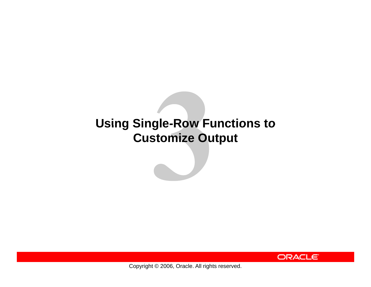## **Using Single-Row Functions to Customize Output**



Copyright © 2006, Oracle. All rights reserved.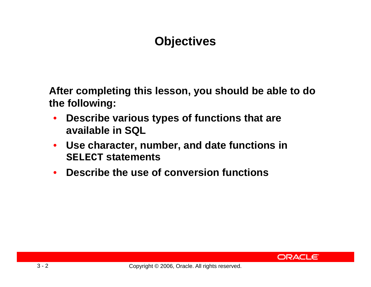# **Objectives**

**After completing this lesson you should be able to do this lesson, the following:**

- $\bullet$  **Describe various types of functions that are available in SQL**
- $\bullet$  **Use character, number, and date functions in SELECT statements**
- **Describe the use of conversion functions**

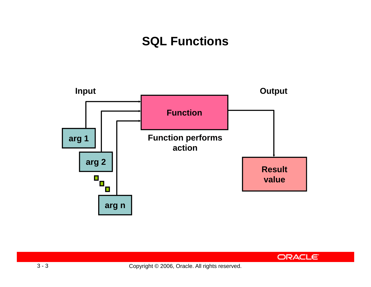## **SQL Functions**

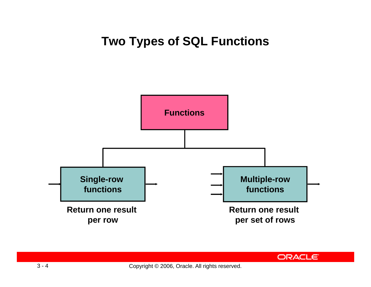## **Two Types of SQL Functions**

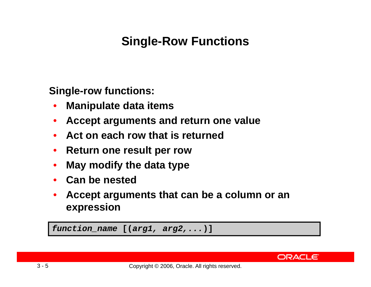## **Single-Row Functions**

**Single -row functions: row**

- •**Manipulate data items**
- **Accept arguments and return one value**
- •**Act on each row that is returned**
- •**Return one result per row**
- •**• May modify the data type**
- **Can be nested**
- $\bullet$  **Accept arguments that can be <sup>a</sup> column or an that expression**

*function\_name* **[(***arg1, arg2,...***)]** *\_*

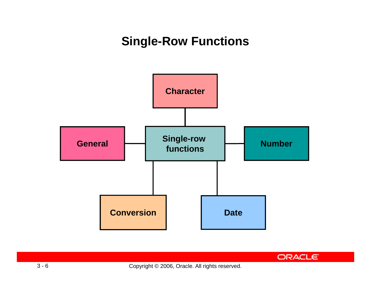## **Single-Row Functions**

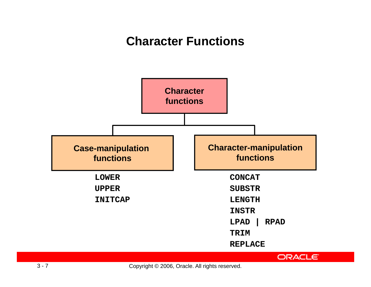## **Character Functions**



Copyright © 2006, Oracle. All rights reserved.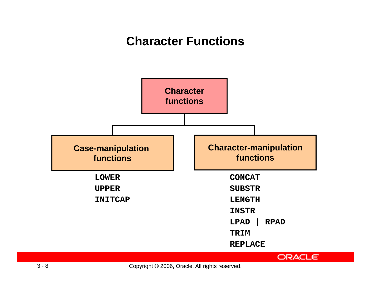## **Character Functions**



Copyright © 2006, Oracle. All rights reserved.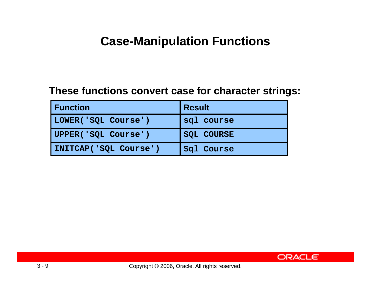### **Case-Manipulation Functions**

#### **These functions convert case for character strings:**

| l Function            | <b>Result</b>     |
|-----------------------|-------------------|
| LOWER('SQL Course')   | sql course        |
| UPPER('SQL Course')   | <b>SQL COURSE</b> |
| INITCAP('SQL Course') | Sql Course        |

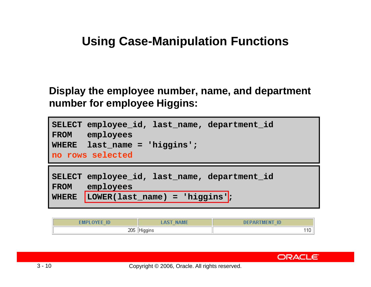### **Using Case-Manipulation Functions**

**Display the employee number name and department number, name, number for employee Higgins:**

| <b>FROM</b>                 | SELECT employee id, last name, department id<br>employees<br>WHERE last_name = 'higgins';<br>no rows selected |
|-----------------------------|---------------------------------------------------------------------------------------------------------------|
| <b>FROM</b><br><b>WHERE</b> | SELECT employee id, last name, department id<br>employees<br>$\vert$ LOWER(last_name) = 'higgins';            |

| <b>ID</b><br>FMPL | <b>NAME</b><br>ID<br>NEPART<br>$\overline{\phantom{a}}$<br>$\overline{\phantom{0}}$ |              |
|-------------------|-------------------------------------------------------------------------------------|--------------|
| 205               | .<br>Hiddins                                                                        | . .<br>- 1 ש |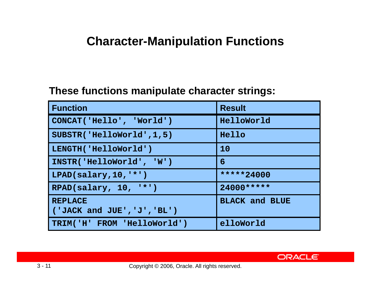#### **Character-Manipulation Functions**

#### **These functions manipulate character strings: manipulate**

| <b>Function</b>                             | <b>Result</b>         |
|---------------------------------------------|-----------------------|
| CONCAT('Hello', 'World')                    | HelloWorld            |
| SUBSTR('HelloWorld', 1, 5)                  | Hello                 |
| LENGTH('HelloWorld')                        | 10                    |
| INSTR('HelloWorld', 'W')                    | 6                     |
| LPAD(salary, 10, '*')                       | *****24000            |
| RPAD(salary, $10,$ $**$ )                   | $24000***$            |
| <b>REPLACE</b><br>('JACK and JUE','J','BL') | <b>BLACK and BLUE</b> |
| TRIM('H' FROM 'HelloWorld')                 | elloWorld             |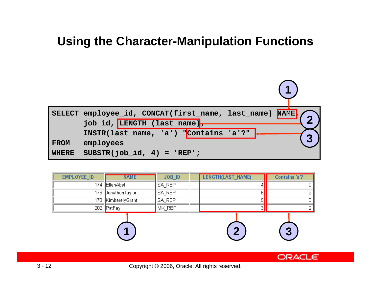#### **Using the Character-Manipulation Functions**

|              | SELECT employee_id, CONCAT(first_name, last_name)<br><b>NAME</b><br>job_id, LENGTH (last_name), |
|--------------|-------------------------------------------------------------------------------------------------|
|              | INSTR(last_name, 'a') "Contains 'a'?"                                                           |
|              |                                                                                                 |
| <b>FROM</b>  | employees                                                                                       |
| <b>WHERE</b> | SUBSTR( $job_id, 4$ ) = 'REP';                                                                  |

| <b>EMPLOYEE ID</b> | <b>NAME</b>        | JOB ID | <b>LENGTH(LAST NAME)</b> | <b>Contains 'a'?</b> |
|--------------------|--------------------|--------|--------------------------|----------------------|
|                    | 174 EllenAbel      | SA_REP |                          |                      |
|                    | 176 JonathonTaylor | SA_REP | 61                       |                      |
|                    | 178 KimberelyGrant | SA_REP | 51                       |                      |
|                    | 202 PatFay         | MK_REP | 31                       |                      |
|                    |                    |        |                          |                      |

Copyright © 2006, Oracle. All rights reserved.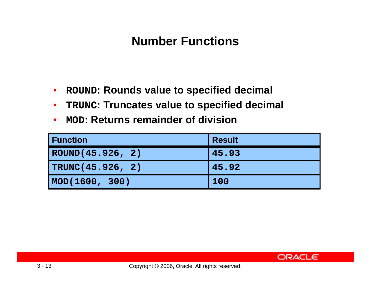## **Number Functions**

- •**ROUND: Rounds value to specified decimal**
- $\bullet$ **TRUNC: Truncates value to specified decimal**
- $\bullet$ **MOD: Returns remainder of division**

| <b>Function</b>   | <b>Result</b> |
|-------------------|---------------|
| ROUND (45.926, 2) | 45.93         |
| TRUNC(45.926, 2)  | 45.92         |
| MOD(1600, 300)    | 100           |

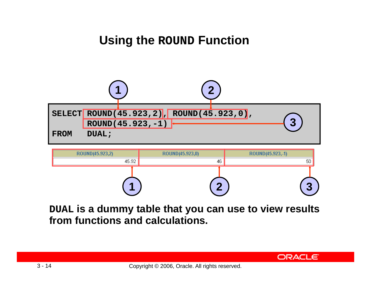#### **Using the ROUND Function**



**DUAL is a dummy table that you can use to view results from functions and calculations.**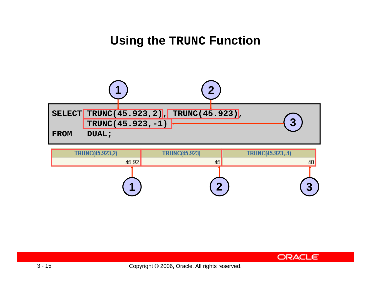#### **Using the TRUNC Function**



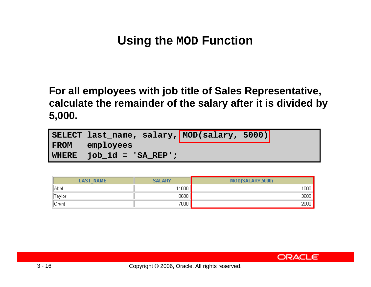## **Using the MOD Function**

**For all employees with job title of Sales Representative Representative, calculate the remainder of the salary after it is divided by 5,000.**

| SELECT last_name, salary, MOD(salary, 5000) |  |  |
|---------------------------------------------|--|--|
| FROM employees                              |  |  |
| WHERE job id = 'SA REP';                    |  |  |

| <b>NAME</b><br><b>AST</b> | <b>SALARY</b> | MOD(SALARY,5000) |
|---------------------------|---------------|------------------|
| Abel                      | 11000         | 1000             |
| Taylor                    | 8600          | 3600             |
| Grant                     | 7000          | 2000             |

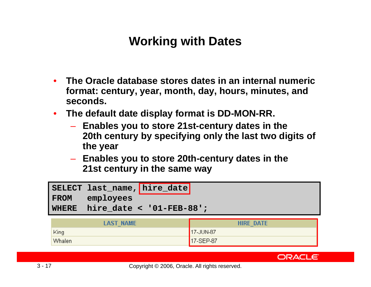## **Working with Dates**

- • **The Oracle database stores dates in an internal numeric f t t th d h i t d format: century, year, month, day, hours, minutes, and seconds.**
- $\bullet$  **The default date display format is DD-MON-RR.**
	- – **Enables you to store 21st 21st-century dates in the century the 20th century by specifying only the last two digits of the year**
	- **Enables you to store 20th-century dates in the 20th century 21st century in the same way**

| <b>FROM</b><br><b>WHERE</b> | SELECT last_name, hire_date<br>employees<br>hire_date < $'01$ -FEB-88'; |                  |
|-----------------------------|-------------------------------------------------------------------------|------------------|
|                             | <b>LAST NAME</b>                                                        | <b>HIRE DATE</b> |
| King                        |                                                                         | 17-JUN-87        |
| Whalen                      |                                                                         | 17-SEP-87        |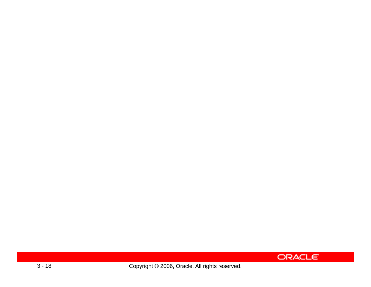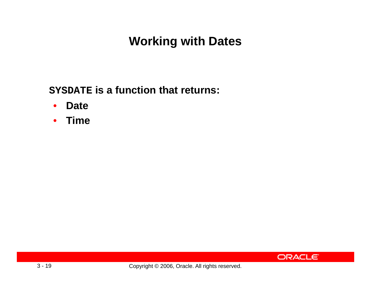## **Working with Dates**

#### **SYSDATE is a function that returns:**

- $\bullet$ **Date**
- $\bullet$ **Time**

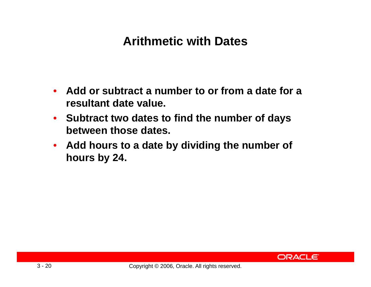## **Arithmetic with Dates**

- **Add or subtract a number to or from a date for a resultant date value.**
- **Subtract two dates to find the number of days between those dates.**
- **Add hours to a date by dividing the number of hours by 24.**

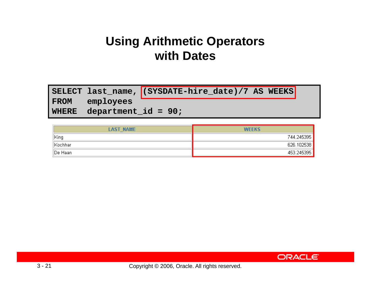## **Using Arithmetic Operators ith D t with a tes**

|                              | SELECT last_name, (SYSDATE-hire_date)/7 AS WEEKS |  |
|------------------------------|--------------------------------------------------|--|
| FROM employees               |                                                  |  |
| WHERE department id = $90$ ; |                                                  |  |

| LAST NAME | <b>WEEKS</b> |  |
|-----------|--------------|--|
| King      | 744.245395   |  |
| Kochhar   | 626.102538 M |  |
| ∥De Haan  | 453.245395   |  |

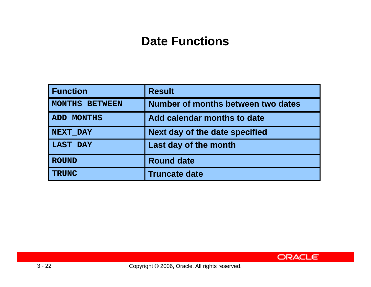### **Date Functions**

| <b>Function</b>   | <b>Result</b>                             |
|-------------------|-------------------------------------------|
| MONTHS BETWEEN    | <b>Number of months between two dates</b> |
| <b>ADD MONTHS</b> | Add calendar months to date               |
| NEXT DAY          | Next day of the date specified            |
| <b>LAST DAY</b>   | Last day of the month                     |
| <b>ROUND</b>      | <b>Round date</b>                         |
| <b>TRUNC</b>      | <b>Truncate date</b>                      |

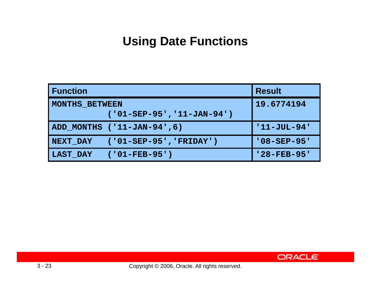## **Using Date Functions**

| <b>Function</b>                       | <b>Result</b>     |
|---------------------------------------|-------------------|
| MONTHS BETWEEN                        | 19.6774194        |
| $(101-SEP-95', 11-JAN-94')$           |                   |
| ADD_MONTHS ('11-JAN-94',6)            | $'11 - JUL - 94'$ |
| $(101-SEP-95', 'FRIDAY')$<br>NEXT DAY | $'08 - SEP - 95'$ |
| LAST DAY<br>$(101 - FEB - 95)$        | '28-FEB-95'       |

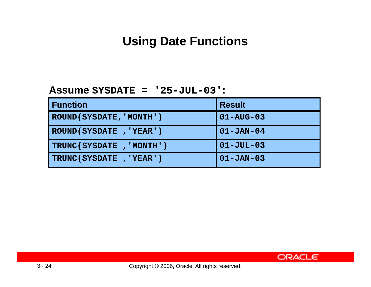## **Using Date Functions**

#### **Assume SYSDATE '25 SYSDATE = -JUL -03':**

| <b>Function</b>          | <b>Result</b>   |
|--------------------------|-----------------|
| ROUND (SYSDATE, 'MONTH') | $01 - AUG - 03$ |
| ROUND (SYSDATE, 'YEAR')  | $01-JAN-04$     |
| TRUNC(SYSDATE, 'MONTH')  | $01-JUL-03$     |
| TRUNC(SYSDATE, 'YEAR')   | $01-JAN-03$     |